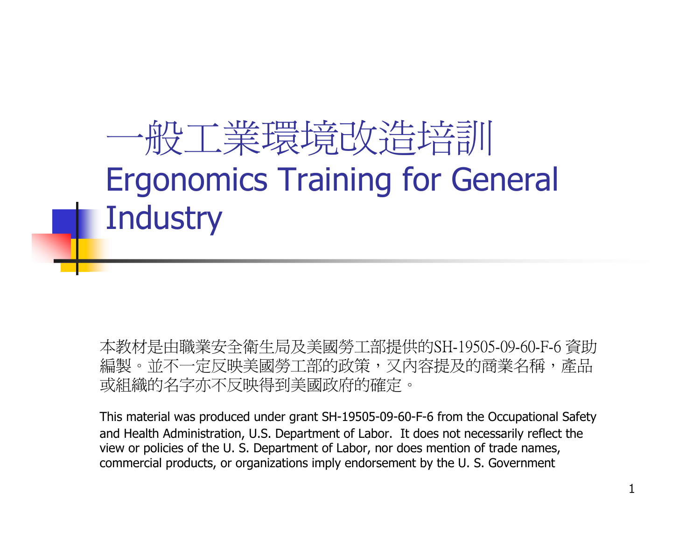#### 一般工業環境改造培訓Ergonomics Training for General **Industry**

本教材是由職業安全衛生局及美國勞工部提供的SH-19505-09-60-F-6 資助編製。並不一定反映美國勞工部的政策,又內容提及的商業名稱,產品 或組織的名字亦不反映得到美國政府的確定。

This material was produced under grant SH-19505-09-60-F-6 from the Occupational Safety and Health Administration, U.S. Department of Labor. It does not necessarily reflect the view or policies of the U. S. Department of Labor, nor does mention of trade names, commercial products, or organizations imply endorsement by the U. S. Government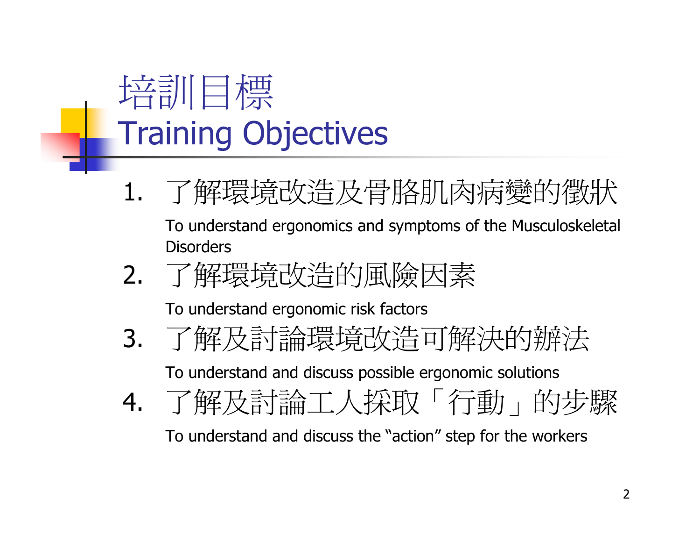

- 1. 了解環境改造及骨胳肌肉病變的徵狀 To understand ergonomics and symptoms of the Musculoskeletal **Disorders**
- 2.了解環境改造的風險因素

To understand ergonomic risk factors

. 了解及討論環境改造可解決的辦法 3.

To understand and discuss possible ergonomic solutions

4.了解及討論工人採取「行動」的步驟

To understand and discuss the "action" step for the workers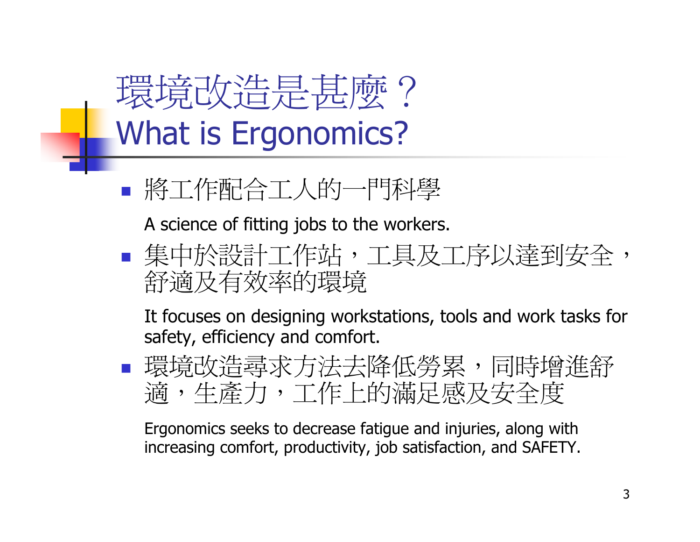環境改造是甚麼? What is Ergonomics?

將工作配合工人的一門科學

A science of fitting jobs to the workers.

 集中於設計工作站,工具及工序以達到安全,舒適及有效率的環境

 It focuses on designing workstations, tools and work tasks for safety, efficiency and comfort.

■ 環境改造尋求方法去降低勞累,同時增進舒 適,生產力,工作上的滿足感及安全度

 Ergonomics seeks to decrease fatigue and injuries, along with increasing comfort, productivity, job satisfaction, and SAFETY.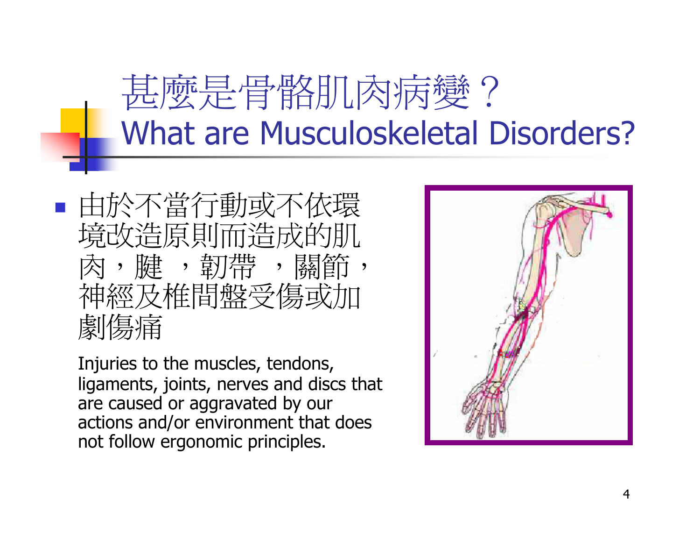甚麼是骨骼肌肉病變? What are Musculoskeletal Disorders?

**Service Service**  由於不當行動或不依環 境改造原則而造成的肌肉,腱 ,韌帶 ,關節 ,<br>神經及椎間盤受傷或加 神經及椎間盤受傷或加劇傷痛

Injuries to the muscles, tendons, ligaments, joints, nerves and discs that are caused or aggravated by our actions and/or environment that does not follow ergonomic principles.

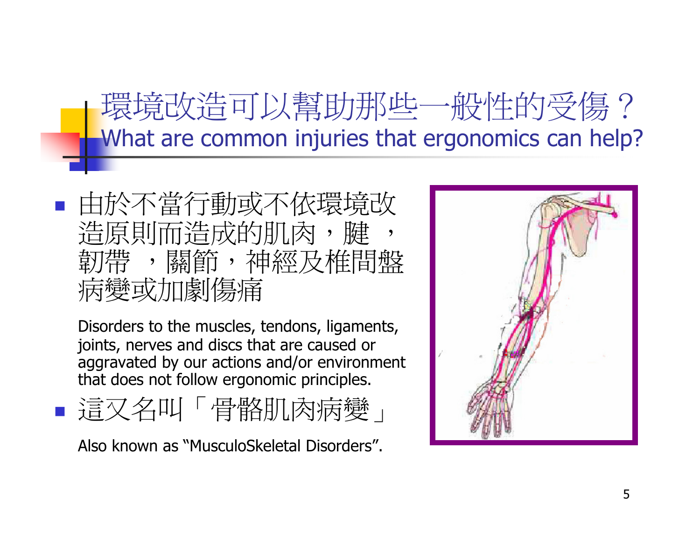環境改造可以幫助那些一般性的受傷?What are common injuries that ergonomics can help?

T. 由於不當行動或不依環境改造原則而造成的肌肉,腱 , 韌帶 帶 ,關節,神經及椎間盤<br>變或加劇傷痛 病變或加劇傷痛

 Disorders to the muscles, tendons, ligaments, joints, nerves and discs that are caused or aggravated by our actions and/or environment that does not follow ergonomic principles.

T. ■ 這又名叫「骨骼肌肉病變」

Also known as "MusculoSkeletal Disorders".

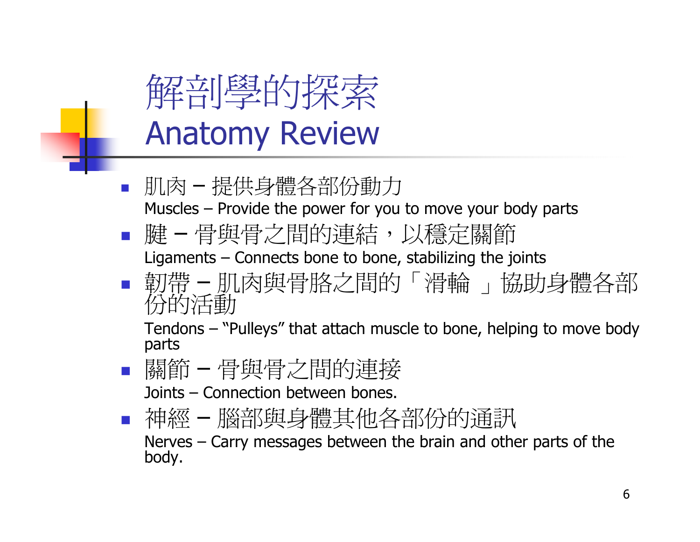

- $\overline{\phantom{a}}$ ■ 肌肉 提供身體各部份動力Muscles – Provide the power for you to move your body parts
- 腱ния в постановите на селото на селото на селото на селото на селото на селото на селото на селото на селото на – 骨與骨之間的連結,以穩定關節Ligaments – Connects bone to bone, stabilizing the joints
- ■ 韌帶 靭帶 - 肌肉與骨胳之間的「滑輪 」協助身體各部<br>份的活動

Tendons – "Pulleys" that attach muscle to bone, helping to move body<br>parts parts

 關節骨與骨之間的連接

Joints – Connection between bones.

 神經–腦部與身體其他各部份的通訊

 Nerves – Carry messages between the brain and other parts of the<br>bodv. body.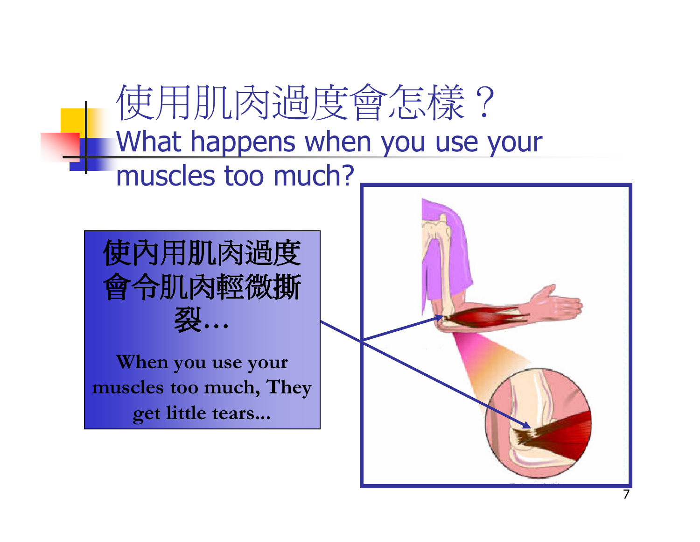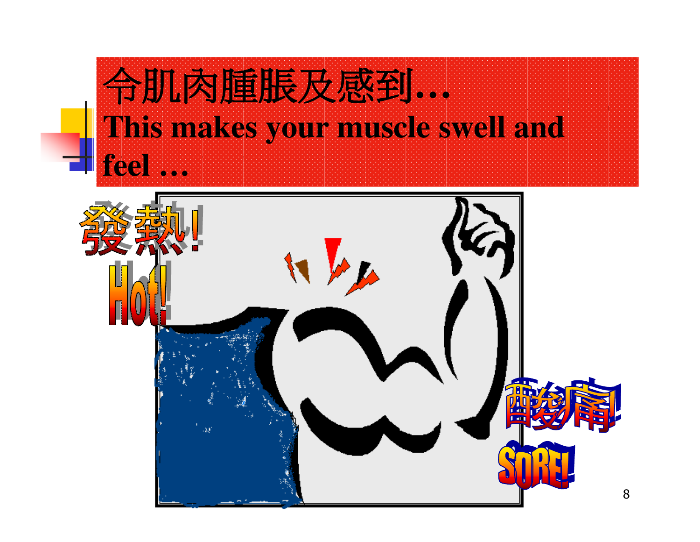

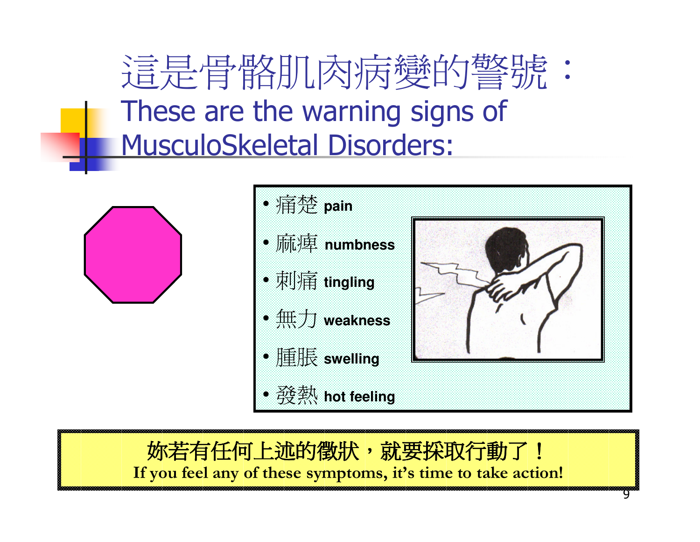這是骨骼肌肉病變的警號: These are the warning signs of MusculoSkeletal Disorders:





9

妳若有任何上述的徵狀,就要採取行動了!<br>vou feel any of these symptoms, it's time to take acti If you feel any of these symptoms, it's time to take action!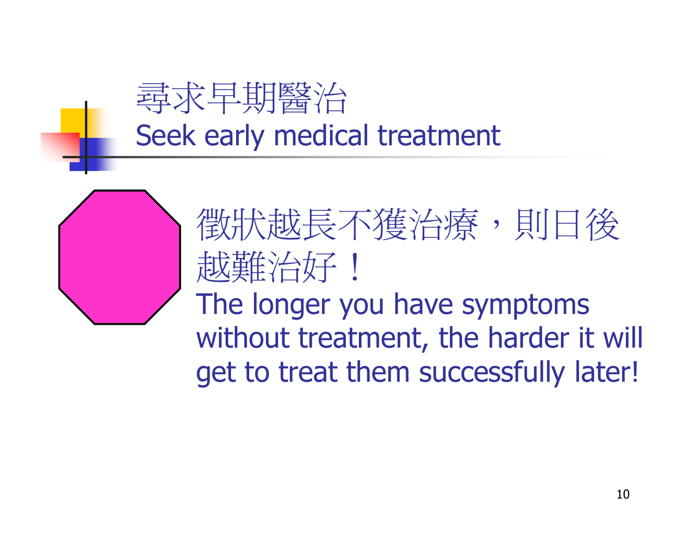

徵狀越長不獲治療,則日後越難治好! The longer you have symptoms !without treatment, the harder it will get to treat them successfully later!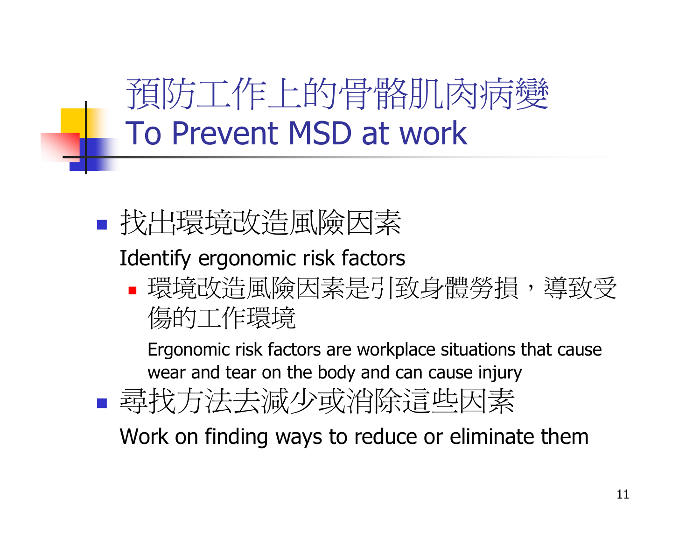預防工作上的骨骼肌肉病變To Prevent MSD at work

■ 找出環境改造風險因素

#### Identify ergonomic risk factors

 $\Box$ ■ 環境改造風險因素是引致身體勞損, 導致受 傷的工作環境

Ergonomic risk factors are workplace situations that cause wear and tear on the body and can cause injury

**Service Service** ■ 尋找方法去減少或消除這些因素

Work on finding ways to reduce or eliminate them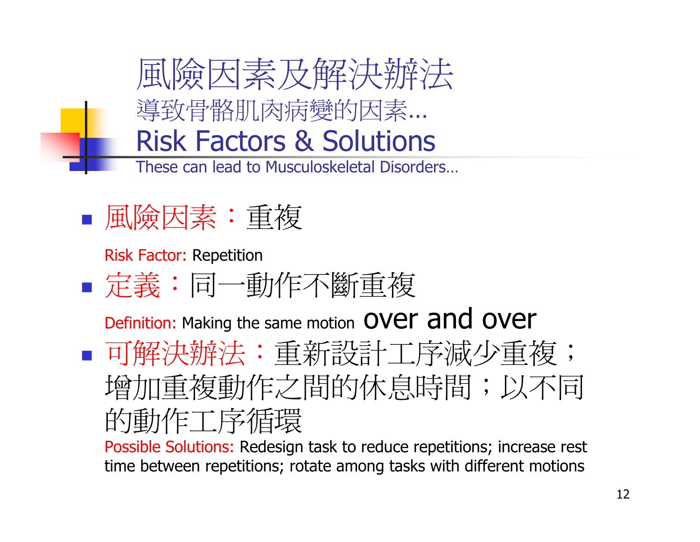

#### **Service Service** 風險因素:重複

Risk Factor: Repetition

**Service Service** 定義:同一動作不斷重複

Definition: Making the same motion  $over$  and over **Service Service** ■ 可解決辦法:重新設計工序減少重複; 增加重複動作之間的休息時間;以不同的動作工序循環

 time between repetitions; rotate among tasks with different motionsPossible Solutions: Redesign task to reduce repetitions; increase rest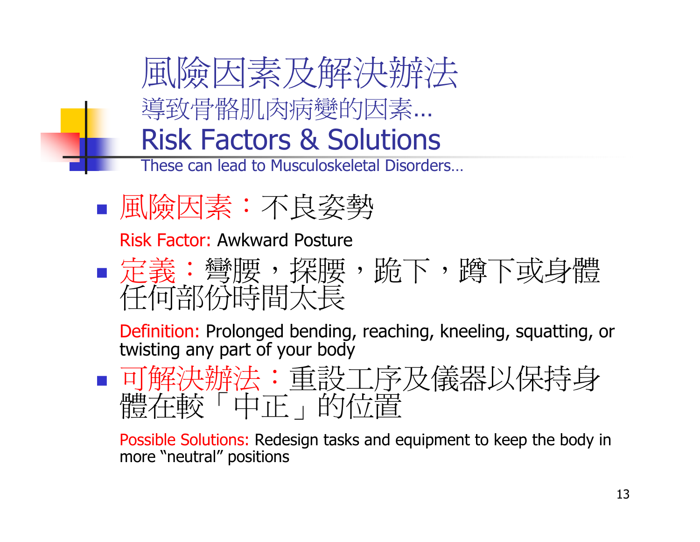風險因素及解決辦法 導致骨骼肌肉病變的因素… $\blacksquare$ Risk Factors & Solutions

These can lead to Musculoskeletal Disorders…

■ 風險因素:不良姿勢

Risk Factor: Awkward Posture

**Service Service** ■ 定義: 彎腰,探腰, 跪下, 蹲下或身體 任何部份時間太長

 Definition: Prolonged bending, reaching, kneeling, squatting, or twisting any part of your body

■可解決辦法:重設工序及儀器以保持身 **Service Service** 體存較「中正」的位置

 Possible Solutions: Redesign tasks and equipment to keep the body in more "neutral" positions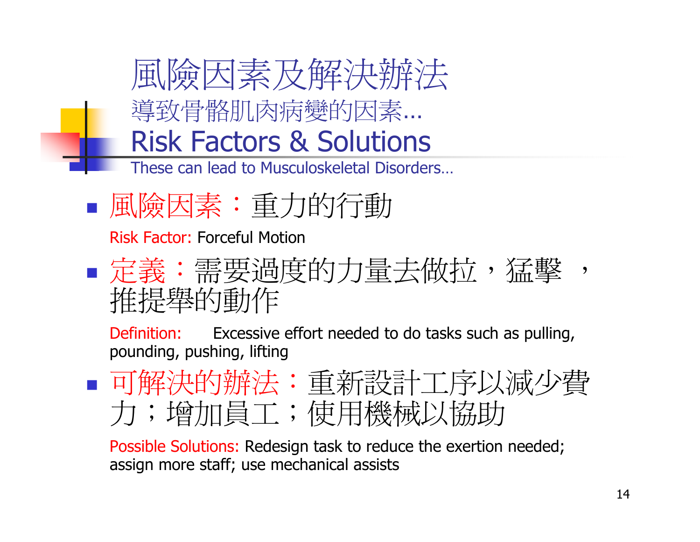

- These can lead to Musculoskeletal Disorders…
- **Service Service** 風險因素:重力的行動

Risk Factor: Forceful Motion

#### **Service Service** ■ 定義:需要過度的力量去做拉,猛擊 学<br>-推提舉的動作

 Definition: Excessive effort needed to do tasks such as pulling, pounding, pushing, lifting

■ 可解決的辦法: 重新設計工序以減少費 力;增加員工;使用機械以協助

 Possible Solutions: Redesign task to reduce the exertion needed; assign more staff; use mechanical assists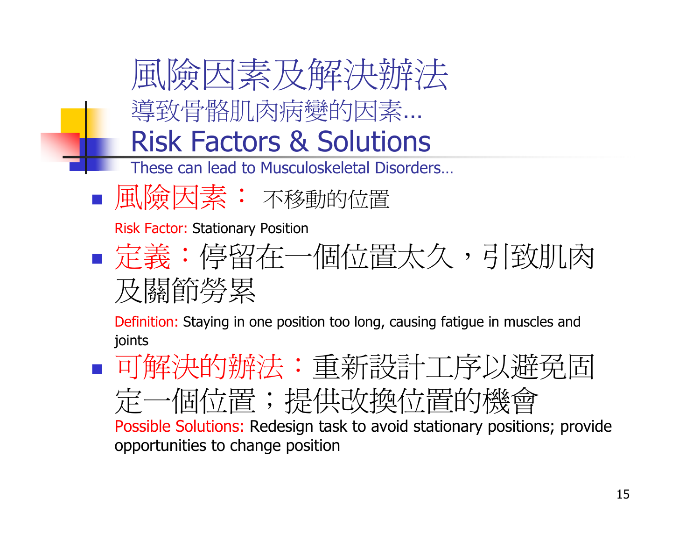

 可解決的辦法:重新設計工序以避免固定一個位置;提供改換位置的機會Possible Solutions: Redesign task to avoid stationary positions; provide opportunities to change position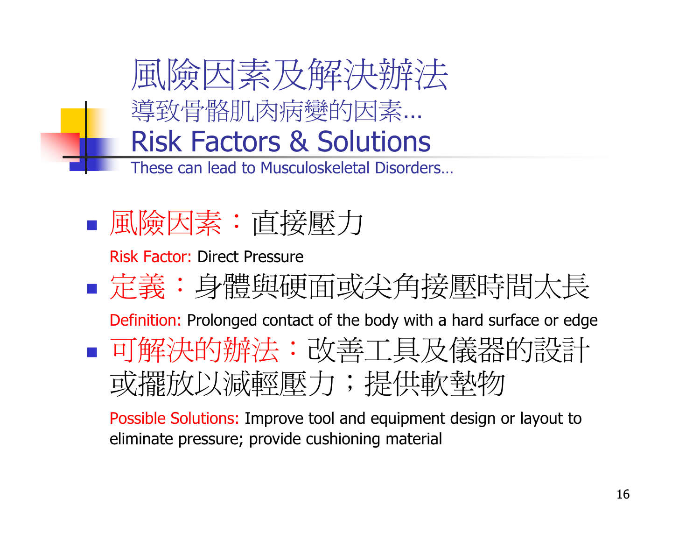

**Service Service** 風險因素:直接壓力

Risk Factor: Direct Pressure

**Service Service** ■ 定義:身體與硬面或尖角接壓時間太長 Definition: Prolonged contact of the body with a hard surface or edge■ 可解決的辦法:改善工具及儀器的設計 或擺放以減輕壓力;提供軟墊物

 Possible Solutions: Improve tool and equipment design or layout to eliminate pressure; provide cushioning material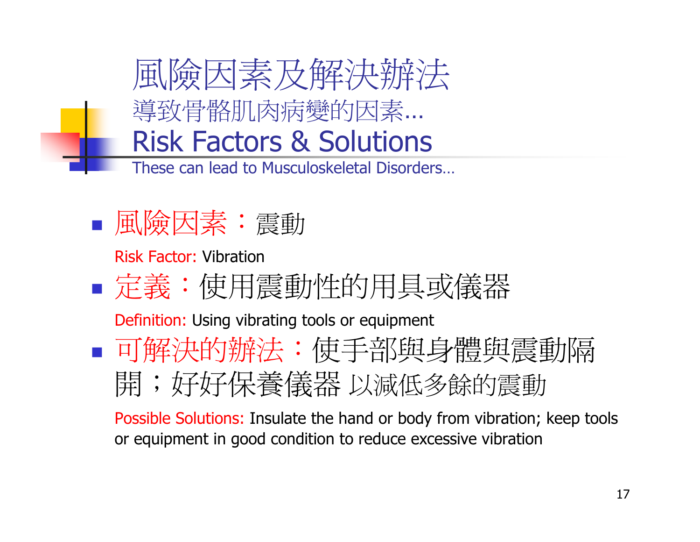



Risk Factor: Vibration

**Service Service** ■ 定義:使用震動性的用具或儀器

Definition: Using vibrating tools or equipment

**Service Service** ■ 可解決的辦法: 使手部與身體與震動隔 開;好好保養儀器 以減低多餘的震動<br>Possible Solutions: Insulate the hand or body from vibration:

Possible Solutions: Insulate the hand or body from vibration; keep tools or equipment in good condition to reduce excessive vibration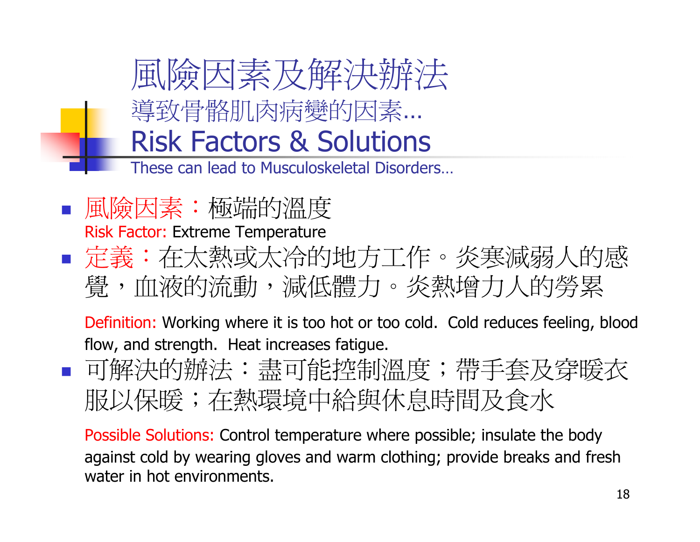

- 
- 風險因素:極端的溫度Risk Factor: Extreme Temperature
- 定義:在太熱或太冷的地方工作。炎寒減弱人的感覺,血液的流動,減低體力。炎熱增力人的勞累

 Definition: Working where it is too hot or too cold. Cold reduces feeling, blood flow, and strength. Heat increases fatigue.

P. ■ 可解決的辦法:盡可能控制溫度;帶手套及穿暖衣 服以保暖;在熱環境中給與休息時間及食水

 Possible Solutions: Control temperature where possible; insulate the body against cold by wearing gloves and warm clothing; provide breaks and fresh water in hot environments.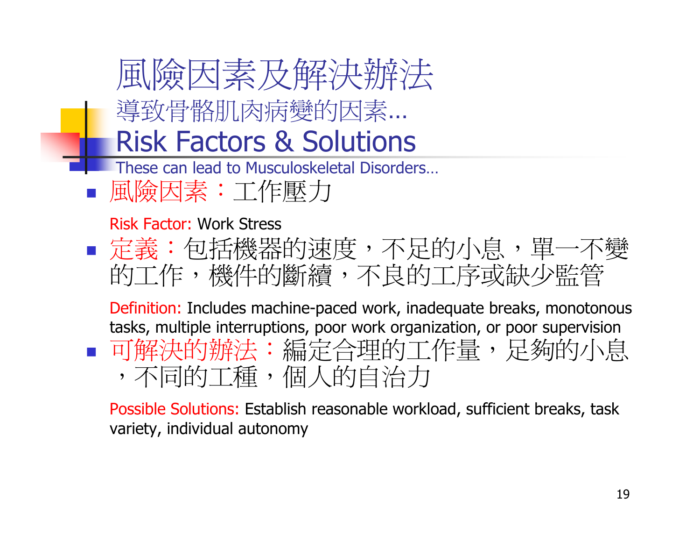

 Possible Solutions: Establish reasonable workload, sufficient breaks, task variety, individual autonomy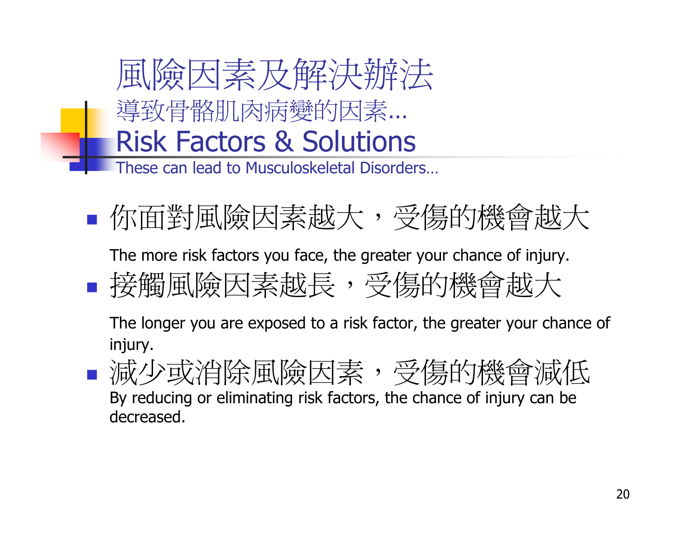

**Service Service** ■ 你面對風險因素越大, 受傷的機會越大

The more risk factors you face, the greater your chance of injury.

**Service Service** ■ 接觸風險因素越長, 受傷的機會越大

 The longer you are exposed to a risk factor, the greater your chance of injury.

■減少或消除風險因素,受傷的機會減低 By reducing or eliminating risk factors, the chance of injury can be decreased.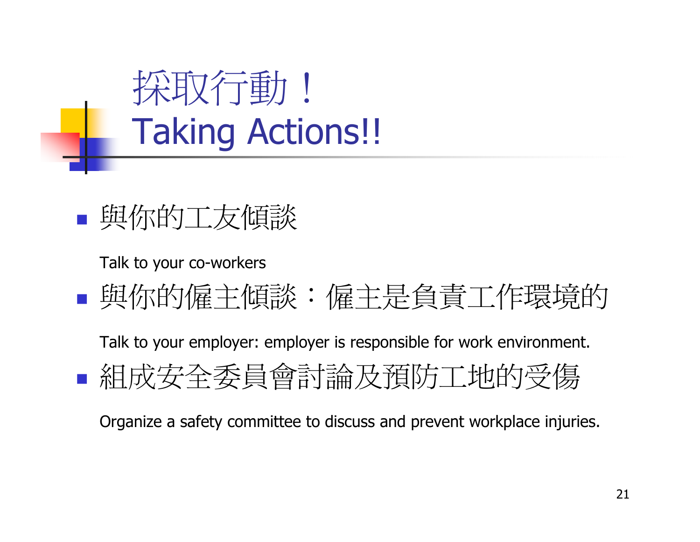



Talk to your co-workers

#### 與你的僱主傾談:僱主是負責工作環境的

 Talk to your employer: employer is responsible for work environment.組成安全委員會討論及預防工地的受傷

Organize a safety committee to discuss and prevent workplace injuries.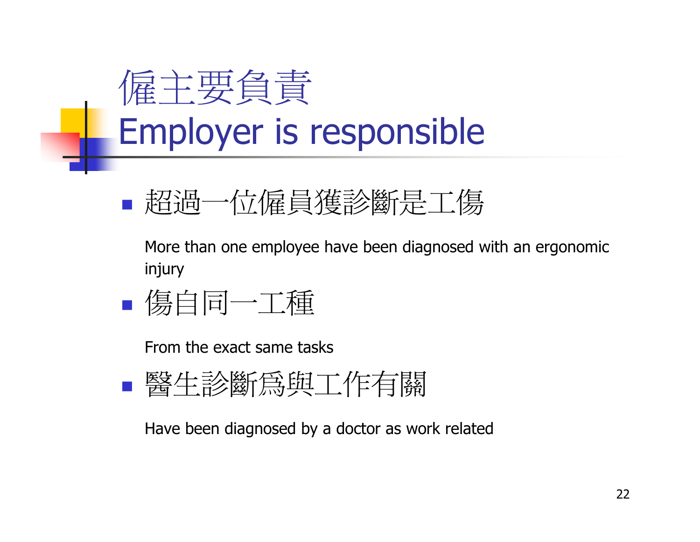### 僱主要負責Employer is responsible

**Service Service** ■ 超過一位僱員獲診斷是工傷

 More than one employee have been diagnosed with an ergonomic injury

■ 傷自同一工種

From the exact same tasks

■ 醫生診斷爲與工作有關

Have been diagnosed by a doctor as work related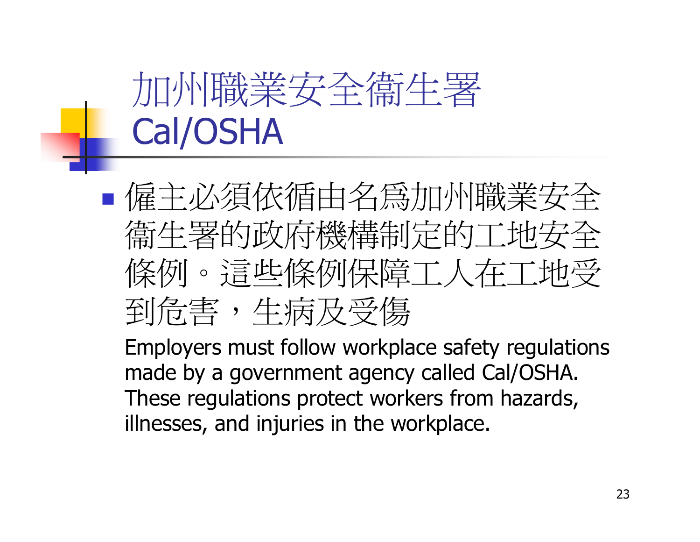## 加州職業安全衞生署Cal/OSHA

**Service Service** ■僱主必須依循由名爲加州職業安全 衛生署的政府機構制定的工地安全 條例。這些條例保障工人在工地受到危害,生病及受傷

 Employers must follow workplace safety regulations made by a government agency called Cal/OSHA. These regulations protect workers from hazards, illnesses, and injuries in the workplace.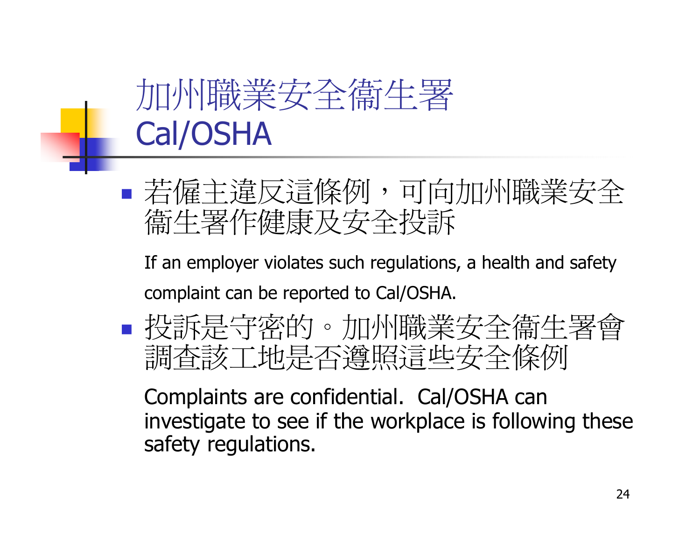#### 加州職業安全衞生署Cal/OSHA

**Service Service**  若僱主違反這條例,可向加州職業安全*衞生署作健康及安全投訴* 

 If an employer violates such regulations, a health and safety complaint can be reported to Cal/OSHA.

 投訴是守密的。加州職業安全衞生署會調查該工地是否遵照這些安全條例

 Complaints are confidential. Cal/OSHA can investigate to see if the workplace is following these safety regulations.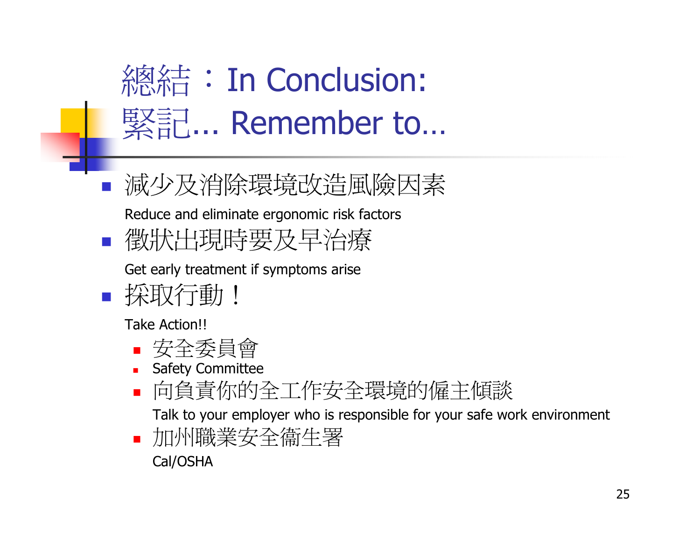

減少及消除環境改造風險因素

Reduce and eliminate ergonomic risk factors

徵狀出現時要及早治療

Get early treatment if symptoms arise

採取行動!

Take Action!!

- n. 安全委員會
- Safety Committee
- 向負責你的全工作安全環境的僱主傾談n.

Talk to your employer who is responsible for your safe work environment

n. 加州職業安全衞生署

Cal/OSHA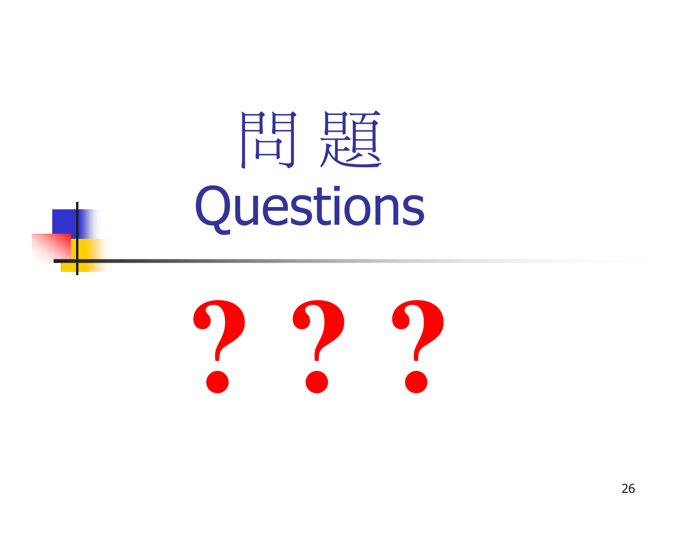## 問 題Questions

# **? ? ?**